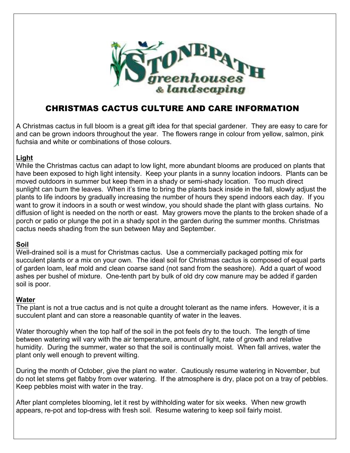

# CHRISTMAS CACTUS CULTURE AND CARE INFORMATION

A Christmas cactus in full bloom is a great gift idea for that special gardener. They are easy to care for and can be grown indoors throughout the year. The flowers range in colour from yellow, salmon, pink fuchsia and white or combinations of those colours.

## **Light**

While the Christmas cactus can adapt to low light, more abundant blooms are produced on plants that have been exposed to high light intensity. Keep your plants in a sunny location indoors. Plants can be moved outdoors in summer but keep them in a shady or semi-shady location. Too much direct sunlight can burn the leaves. When it's time to bring the plants back inside in the fall, slowly adjust the plants to life indoors by gradually increasing the number of hours they spend indoors each day. If you want to grow it indoors in a south or west window, you should shade the plant with glass curtains. No diffusion of light is needed on the north or east. May growers move the plants to the broken shade of a porch or patio or plunge the pot in a shady spot in the garden during the summer months. Christmas cactus needs shading from the sun between May and September.

# **Soil**

Well-drained soil is a must for Christmas cactus. Use a commercially packaged potting mix for succulent plants or a mix on your own. The ideal soil for Christmas cactus is composed of equal parts of garden loam, leaf mold and clean coarse sand (not sand from the seashore). Add a quart of wood ashes per bushel of mixture. One-tenth part by bulk of old dry cow manure may be added if garden soil is poor.

# **Water**

The plant is not a true cactus and is not quite a drought tolerant as the name infers. However, it is a succulent plant and can store a reasonable quantity of water in the leaves.

Water thoroughly when the top half of the soil in the pot feels dry to the touch. The length of time between watering will vary with the air temperature, amount of light, rate of growth and relative humidity. During the summer, water so that the soil is continually moist. When fall arrives, water the plant only well enough to prevent wilting.

During the month of October, give the plant no water. Cautiously resume watering in November, but do not let stems get flabby from over watering. If the atmosphere is dry, place pot on a tray of pebbles. Keep pebbles moist with water in the tray.

After plant completes blooming, let it rest by withholding water for six weeks. When new growth appears, re-pot and top-dress with fresh soil. Resume watering to keep soil fairly moist.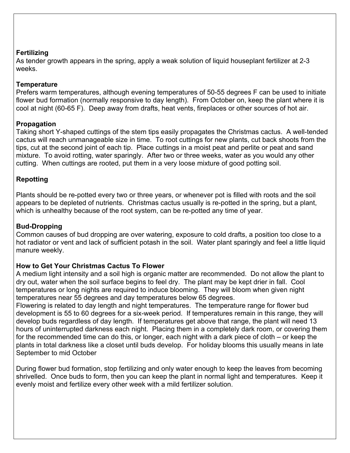#### **Fertilizing**

As tender growth appears in the spring, apply a weak solution of liquid houseplant fertilizer at 2-3 weeks.

#### **Temperature**

Prefers warm temperatures, although evening temperatures of 50-55 degrees F can be used to initiate flower bud formation (normally responsive to day length). From October on, keep the plant where it is cool at night (60-65 F). Deep away from drafts, heat vents, fireplaces or other sources of hot air.

#### **Propagation**

Taking short Y-shaped cuttings of the stem tips easily propagates the Christmas cactus. A well-tended cactus will reach unmanageable size in time. To root cuttings for new plants, cut back shoots from the tips, cut at the second joint of each tip. Place cuttings in a moist peat and perlite or peat and sand mixture. To avoid rotting, water sparingly. After two or three weeks, water as you would any other cutting. When cuttings are rooted, put them in a very loose mixture of good potting soil.

## **Repotting**

Plants should be re-potted every two or three years, or whenever pot is filled with roots and the soil appears to be depleted of nutrients. Christmas cactus usually is re-potted in the spring, but a plant, which is unhealthy because of the root system, can be re-potted any time of year.

#### **Bud-Dropping**

Common causes of bud dropping are over watering, exposure to cold drafts, a position too close to a hot radiator or vent and lack of sufficient potash in the soil. Water plant sparingly and feel a little liquid manure weekly.

#### **How to Get Your Christmas Cactus To Flower**

A medium light intensity and a soil high is organic matter are recommended. Do not allow the plant to dry out, water when the soil surface begins to feel dry. The plant may be kept drier in fall. Cool temperatures or long nights are required to induce blooming. They will bloom when given night temperatures near 55 degrees and day temperatures below 65 degrees.

Flowering is related to day length and night temperatures. The temperature range for flower bud development is 55 to 60 degrees for a six-week period. If temperatures remain in this range, they will develop buds regardless of day length. If temperatures get above that range, the plant will need 13 hours of uninterrupted darkness each night. Placing them in a completely dark room, or covering them for the recommended time can do this, or longer, each night with a dark piece of cloth – or keep the plants in total darkness like a closet until buds develop. For holiday blooms this usually means in late September to mid October

During flower bud formation, stop fertilizing and only water enough to keep the leaves from becoming shrivelled. Once buds to form, then you can keep the plant in normal light and temperatures. Keep it evenly moist and fertilize every other week with a mild fertilizer solution.